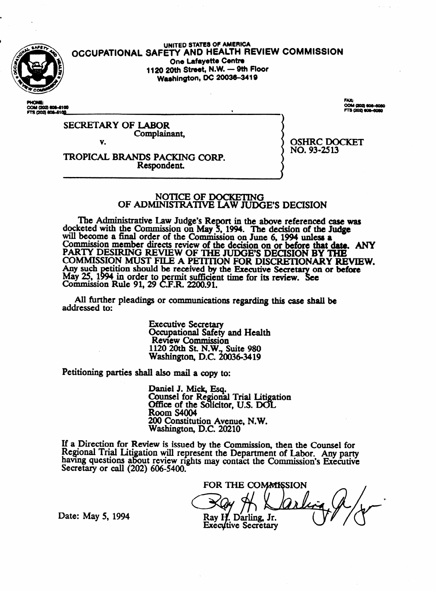

UNITED STATES OF AMERICA OCCUPATIONAL SAFETY AND HEALTH REVIEW COMMISSION One Lafayette Centre 1120 20th Street, N.W. - 9th Floor **Washington, DC 20036-3419** 

COM (202) 606-6100 FTS (202) 808-8100

.<br>4 (202) 606-6060

**OSHRC DOCKET** 

NO. 93-2513

**SECRETARY OF LABOR** Complainant, V.

TROPICAL BRANDS PACKING CORP. Respondent.

# NOTICE OF DOCKETING<br>OF ADMINISTRATIVE LAW JUDGE'S DECISION

The Administrative Law Judge's Report in the above referenced case was docketed with the Commission on May 5, 1994. The decision of the Judge will become a final order of the Commission on June 6, 1994 unless a Commission member directs review of the decision on or before that date. ANY<br>PARTY DESIRING REVIEW OF THE JUDGE'S DECISION BY THE<br>COMMISSION MUST FILE A PETITION FOR DISCRETIONARY REVIEW. Any such petition should be received by the Executive Secretary on or before<br>May 25, 1994 in order to permit sufficient time for its review. See<br>Commission Rule 91, 29 C.F.R. 2200.91.

All further pleadings or communications regarding this case shall be addressed to:

> **Executive Secretary** Occupational Safety and Health **Review Commission** 1120 20th St. N.W., Suite 980<br>Washington, D.C. 20036-3419

Petitioning parties shall also mail a copy to:

Daniel J. Mick, Esq.<br>Counsel for Regional Trial Litigation Office of the Solicitor, U.S. DOL **Room S4004** 200 Constitution Avenue, N.W.<br>Washington, D.C. 20210

If a Direction for Review is issued by the Commission, then the Counsel for Regional Trial Litigation will represent the Department of Labor. Any party having questions about review rights may contact the Commission's Executive<br>Secretary or call (202) 606-5400.

FOR THE COMMISSION Rav H. Darling. Jr. **Executive Secretary** 

Date: May 5, 1994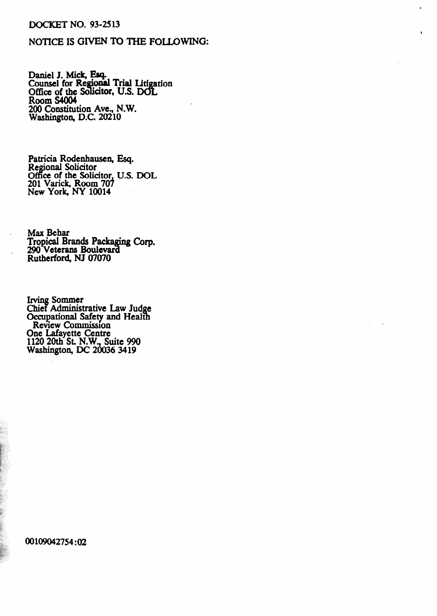### **DOCKET NO. 93-2513**

## NOTICE IS GIVEN TO THE FOLLOWING:

Daniel J. Mick, Esq.<br>Counsel for Regional Trial Litigation<br>Office of the Solicitor, U.S. DOL<br>Room S4004<br>200 Constitution Ave., N.W.<br>Washington, D.C. 20210

Patricia Rodenhausen, Esq.<br>Regional Solicitor<br>Office of the Solicitor, U.S. DOL<br>201 Varick, Room 707<br>New York, NY 10014

Max Behar Tropical Brands Packaging Corp.<br>290 Veterans Boulevard<br>Rutherford, NJ 07070

Irving Sommer<br>Chief Administrative Law Judge<br>Occupational Safety and Health<br>Review Commission<br>One Lafayette Centre<br>1120 20th St. N.W., Suite 990<br>Washington, DC 20036 3419

00109042754:02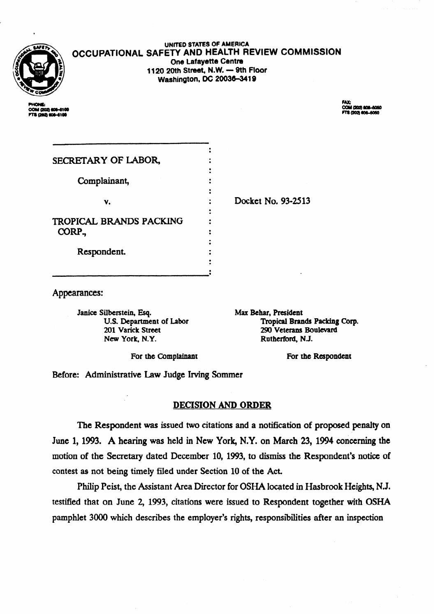

#### **UNKEO STATES OF AMERICA OCCUPATIONAL SAFETV AND HEALTH REVIEW COMMISSION One Lafayette Centre** 1120 20th Street, N.W. - 9th Floor **Washington, DC 20036-3419**

COM (202) 806-6050 **3.702 BOLAGEO** 

| SECRETARY OF LABOR,                      |                    |
|------------------------------------------|--------------------|
| Complainant,                             |                    |
| v.                                       | Docket No. 93-2513 |
| <b>TROPICAL BRANDS PACKING</b><br>CORP., |                    |
| Respondent.                              |                    |
|                                          |                    |

Appearances:

Janice Silberstein, Esq. **US Department of Labor 201 Varick Street New York, N.Y.** 

.

**Max Behar, President Tropicat Brands Packing Corp. 290 veterans Boulevard Rutherford, NJ.** 

For the Complainant **For the Respondent** 

Before: Administrative Law Judge Irving Sommer

## DECISION AND ORDER

The Respondent was issued two citations and a notification of proposed penalty on June 1,1993. A hearing was held in New York, N.Y. on March 23, 1994 conceming the motion of the Secretary dated December 10, 1993, to dismiss the Respondent's notice of contest as not being timely filed under Section 10 of the Act.

Philip Peist, the Assistant Area Director for **OSHA** located in Hasbrook Heights, N.J. testified that on June 2, 1993, citations were issued to Respondent together with **OSHA**  pamphlet 3000 which describes the employer's rights, responsibilities after an inspection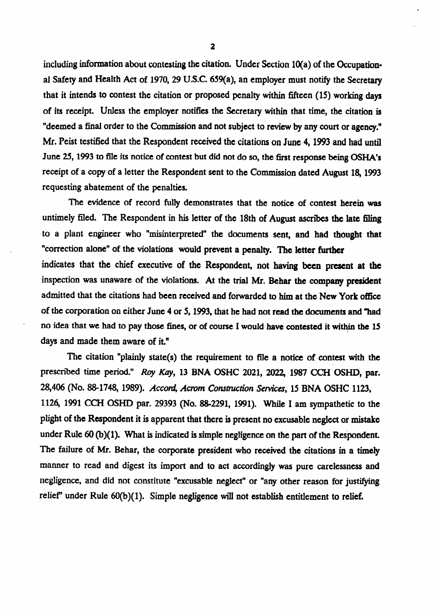including information about contesting the citation. Under Section  $10(a)$  of the Occupational Safety and Health Act of 1970, 29 U.S.C. 659(a), an employer must notify the Secretary that it intends to contest the citation or proposed penalty within fifteen (15) working days of its receipt. Unless the employer notifies the Secretary within that time, the citation is "deemed a final order to the Commission and not subject to review by any court or agency." Mr. Peist testified that the Respondent received the citations on June 4, 1993 and had until June 25, 1993 to file its notice of contest but did not do so, the first response being OSHA's receipt of a copy of a letter the Respondent sent to the Commission dated August 18,1993 requesting abatement of the penalties.

The evidence of record fully demonstrates that the notice of contest herein was untimely filed. The Respondent in his letter of the 18th of August ascribes the late filing to a plant engineer who "misinterpreted" the documents sent, and had thought that "correction alone" of the violations would prevent a penalty. The letter further indicates that the chief executive of the Respondent, not having been present **at the**  inspection was unaware of the violations. At the trial Mr. Behar the company president admitted that the citations had been received and forwarded to him at the New York office of the corporation on either June 4 or 5,1993, that he had not read the documents and "had no idea that we had to pay those fines, or of course I would have contested it within the 15 . days and made them aware of it."

.

.

The citation "plainly state(s) the requirement to file a notice of contest with the prescribed time period." Roy Kay, 13 BNA OSHC 2021, 2022, 1987 CCH OSHD, par. 28,406 (No. 88-1748, 1989). *Accord, Acrom Construction Services*, 15 BNA OSHC 1123, 1126, 1991 CCH OSHD par. 29393 (No. 88-2291, 1991). While I am sympathetic to the plight of the Respondent it is apparent that there is present no excusable neglect or mistake under Rule 60 (b)(1). What is indicated is simple negligence on the part of the Respondent. The failure of Mr. Behar, the corporate president who received the citations in a timely manner to read and digest its import and to act accordingly was pure carelessness and negligence, and did not constitute "excusable neglect" or "any other reason for justifying relief'' under Rule  $60(b)(1)$ . Simple negligence will not establish entitlement to relief.